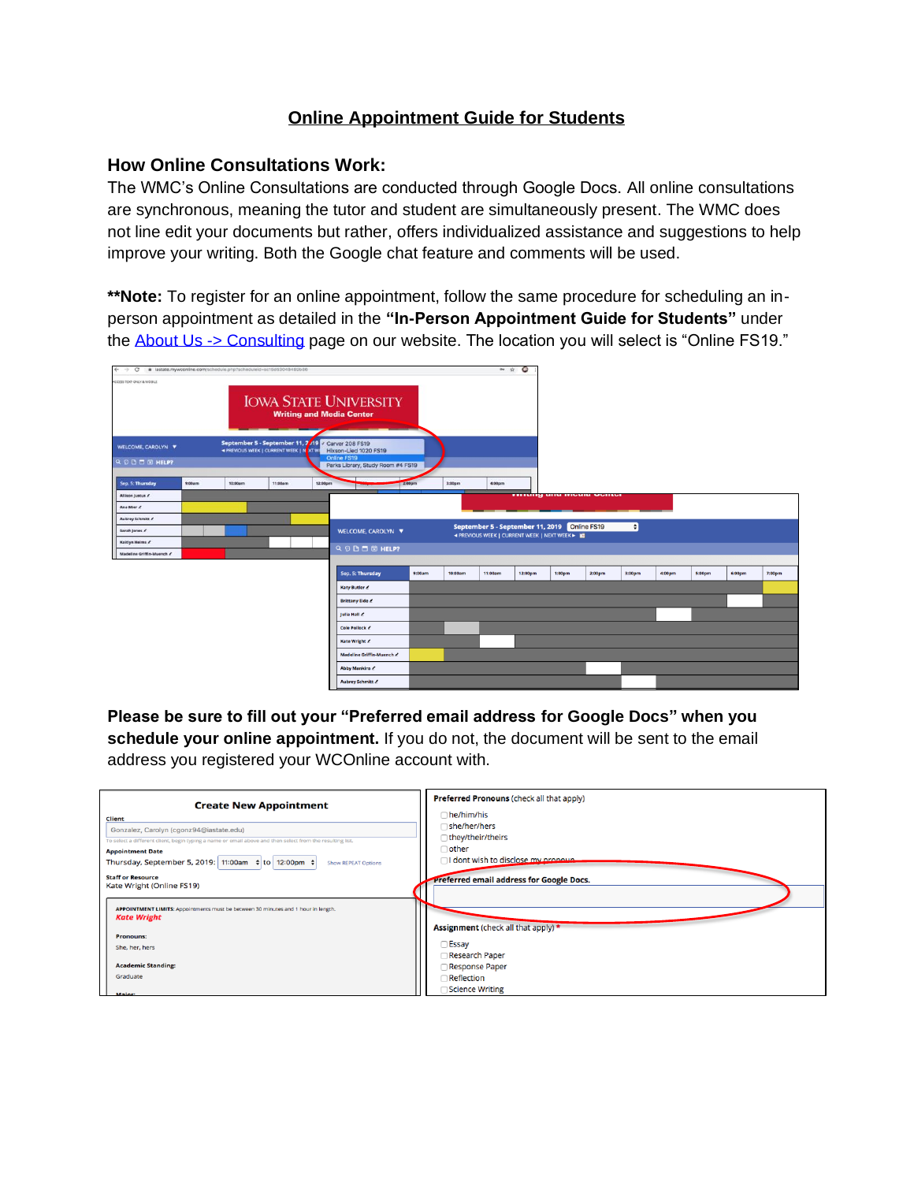## **Online Appointment Guide for Students**

## **How Online Consultations Work:**

The WMC's Online Consultations are conducted through Google Docs. All online consultations are synchronous, meaning the tutor and student are simultaneously present. The WMC does not line edit your documents but rather, offers individualized assistance and suggestions to help improve your writing. Both the Google chat feature and comments will be used.

**\*\*Note:** To register for an online appointment, follow the same procedure for scheduling an inperson appointment as detailed in the **"In-Person Appointment Guide for Students"** under the [About Us -> Consulting](https://www.wmc.dso.iastate.edu/about-us/our-services/consulting) page on our website. The location you will select is "Online FS19."



**Please be sure to fill out your "Preferred email address for Google Docs" when you schedule your online appointment.** If you do not, the document will be sent to the email address you registered your WCOnline account with.

| <b>Create New Appointment</b><br><b>Client</b><br>Gonzalez, Carolyn (cgonz94@iastate.edu)<br>To select a different client, begin typing a name or email above and then select from the resulting list.<br><b>Appointment Date</b><br>Thursday, September 5, 2019: 11:00am ↓ to 12:00pm ↓<br><b>Show REPEAT Options</b><br><b>Staff or Resource</b><br>Kate Wright (Online FS19) | Preferred Pronouns (check all that apply)<br>$\Box$ he/him/his<br>□ she/her/hers<br>∩they/their/theirs<br>$\Box$ other<br>I dont wish to disclose my propoun<br>Preferred email address for Google Docs. |
|---------------------------------------------------------------------------------------------------------------------------------------------------------------------------------------------------------------------------------------------------------------------------------------------------------------------------------------------------------------------------------|----------------------------------------------------------------------------------------------------------------------------------------------------------------------------------------------------------|
| APPOINTMENT LIMITS: Appointments must be between 30 minutes and 1 hour in length.<br><b>Kate Wright</b>                                                                                                                                                                                                                                                                         | Assignment (check all that apply) *                                                                                                                                                                      |
| <b>Pronouns:</b>                                                                                                                                                                                                                                                                                                                                                                | Essay                                                                                                                                                                                                    |
| She, her, hers                                                                                                                                                                                                                                                                                                                                                                  | Research Paper                                                                                                                                                                                           |
| <b>Academic Standing:</b>                                                                                                                                                                                                                                                                                                                                                       | <b>Response Paper</b>                                                                                                                                                                                    |
| Graduate                                                                                                                                                                                                                                                                                                                                                                        | 1Reflection                                                                                                                                                                                              |
| Major:                                                                                                                                                                                                                                                                                                                                                                          | Science Writing                                                                                                                                                                                          |